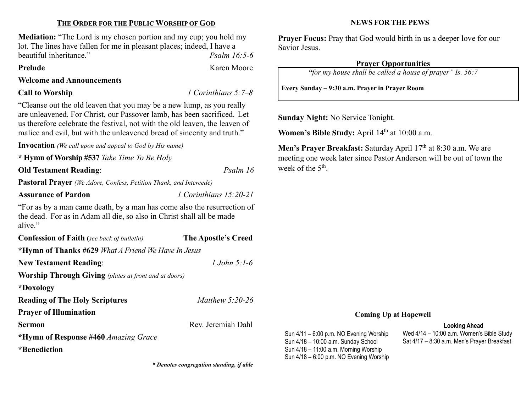# THE ORDER FOR THE PUBLIC WORSHIP OF GOD

Mediation: "The Lord is my chosen portion and my cup; you hold my lot. The lines have fallen for me in pleasant places; indeed, I have a beautiful inheritance." The example of the property in the property property  $Psalm 16:5-6$ 

Welcome and Announcements

## **Call to Worship**  $\qquad \qquad$  **1 Corinthians 5:7–8**

"Cleanse out the old leaven that you may be a new lump, as you really are unleavened. For Christ, our Passover lamb, has been sacrificed. Let us therefore celebrate the festival, not with the old leaven, the leaven of malice and evil, but with the unleavened bread of sincerity and truth."

Invocation (We call upon and appeal to God by His name)

\* Hymn of Worship #537 Take Time To Be Holy

Old Testament Reading: Psalm 16

Pastoral Prayer (We Adore, Confess, Petition Thank, and Intercede)

Assurance of Pardon 1 Corinthians 15:20-21

"For as by a man came death, by a man has come also the resurrection of the dead. For as in Adam all die, so also in Christ shall all be made alive."

| <b>Confession of Faith</b> (see back of bulletin)            | The Apostle's Creed |
|--------------------------------------------------------------|---------------------|
| *Hymn of Thanks #629 What A Friend We Have In Jesus          |                     |
| <b>New Testament Reading:</b>                                | 1.John $5:1-6$      |
| <b>Worship Through Giving</b> (plates at front and at doors) |                     |
| *Doxology                                                    |                     |
| <b>Reading of The Holy Scriptures</b>                        | Matthew $5:20-26$   |
| <b>Prayer of Illumination</b>                                |                     |
| Sermon                                                       | Rev. Jeremiah Dahl  |
| *Hymn of Response #460 Amazing Grace                         |                     |
| *Benediction                                                 |                     |

\* Denotes congregation standing, if able

#### NEWS FOR THE PEWS

Prayer Focus: Pray that God would birth in us a deeper love for our Savior Jesus.

# Prayer Opportunities

"for my house shall be called a house of prayer" Is. 56:7

Every Sunday – 9:30 a.m. Prayer in Prayer Room

Sunday Night: No Service Tonight.

Women's Bible Study: April 14<sup>th</sup> at 10:00 a.m.

Men's Prayer Breakfast: Saturday April 17<sup>th</sup> at 8:30 a.m. We are meeting one week later since Pastor Anderson will be out of town the week of the 5<sup>th</sup>.

#### Coming Up at Hopewell

#### Looking Ahead

Sun 4/11 – 6:00 p.m. NO Evening Worship Sun 4/18 – 10:00 a.m. Sunday School Sun 4/18 – 11:00 a.m. Morning Worship Sun 4/18 – 6:00 p.m. NO Evening Worship Wed 4/14 – 10:00 a.m. Women's Bible Study Sat 4/17 – 8:30 a.m. Men's Prayer Breakfast

# Prelude Karen Moore